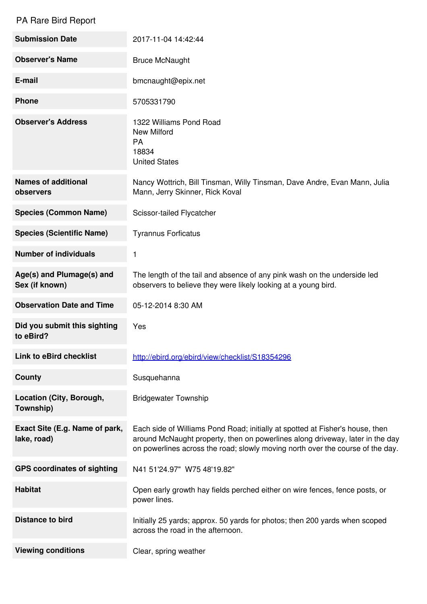## PA Rare Bird Report

| <b>Submission Date</b>                        | 2017-11-04 14:42:44                                                                                                                                                                                                                              |
|-----------------------------------------------|--------------------------------------------------------------------------------------------------------------------------------------------------------------------------------------------------------------------------------------------------|
| <b>Observer's Name</b>                        | <b>Bruce McNaught</b>                                                                                                                                                                                                                            |
| E-mail                                        | bmcnaught@epix.net                                                                                                                                                                                                                               |
| <b>Phone</b>                                  | 5705331790                                                                                                                                                                                                                                       |
| <b>Observer's Address</b>                     | 1322 Williams Pond Road<br><b>New Milford</b><br>PA<br>18834<br><b>United States</b>                                                                                                                                                             |
| <b>Names of additional</b><br>observers       | Nancy Wottrich, Bill Tinsman, Willy Tinsman, Dave Andre, Evan Mann, Julia<br>Mann, Jerry Skinner, Rick Koval                                                                                                                                     |
| <b>Species (Common Name)</b>                  | Scissor-tailed Flycatcher                                                                                                                                                                                                                        |
| <b>Species (Scientific Name)</b>              | <b>Tyrannus Forficatus</b>                                                                                                                                                                                                                       |
| <b>Number of individuals</b>                  | 1                                                                                                                                                                                                                                                |
| Age(s) and Plumage(s) and<br>Sex (if known)   | The length of the tail and absence of any pink wash on the underside led<br>observers to believe they were likely looking at a young bird.                                                                                                       |
| <b>Observation Date and Time</b>              | 05-12-2014 8:30 AM                                                                                                                                                                                                                               |
| Did you submit this sighting<br>to eBird?     | Yes                                                                                                                                                                                                                                              |
| Link to eBird checklist                       | http://ebird.org/ebird/view/checklist/S18354296                                                                                                                                                                                                  |
| <b>County</b>                                 | Susquehanna                                                                                                                                                                                                                                      |
| Location (City, Borough,<br>Township)         | <b>Bridgewater Township</b>                                                                                                                                                                                                                      |
| Exact Site (E.g. Name of park,<br>lake, road) | Each side of Williams Pond Road; initially at spotted at Fisher's house, then<br>around McNaught property, then on powerlines along driveway, later in the day<br>on powerlines across the road; slowly moving north over the course of the day. |
| <b>GPS coordinates of sighting</b>            | N41 51'24.97" W75 48'19.82"                                                                                                                                                                                                                      |
| <b>Habitat</b>                                | Open early growth hay fields perched either on wire fences, fence posts, or<br>power lines.                                                                                                                                                      |
| <b>Distance to bird</b>                       | Initially 25 yards; approx. 50 yards for photos; then 200 yards when scoped<br>across the road in the afternoon.                                                                                                                                 |
| <b>Viewing conditions</b>                     | Clear, spring weather                                                                                                                                                                                                                            |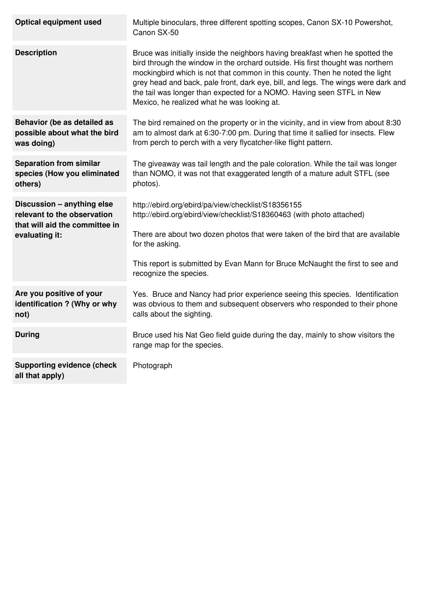| <b>Optical equipment used</b>                                                                                 | Multiple binoculars, three different spotting scopes, Canon SX-10 Powershot,<br>Canon SX-50                                                                                                                                                                                                                                                                                                                                                                  |
|---------------------------------------------------------------------------------------------------------------|--------------------------------------------------------------------------------------------------------------------------------------------------------------------------------------------------------------------------------------------------------------------------------------------------------------------------------------------------------------------------------------------------------------------------------------------------------------|
| <b>Description</b>                                                                                            | Bruce was initially inside the neighbors having breakfast when he spotted the<br>bird through the window in the orchard outside. His first thought was northern<br>mockingbird which is not that common in this county. Then he noted the light<br>grey head and back, pale front, dark eye, bill, and legs. The wings were dark and<br>the tail was longer than expected for a NOMO. Having seen STFL in New<br>Mexico, he realized what he was looking at. |
| Behavior (be as detailed as<br>possible about what the bird<br>was doing)                                     | The bird remained on the property or in the vicinity, and in view from about 8:30<br>am to almost dark at 6:30-7:00 pm. During that time it sallied for insects. Flew<br>from perch to perch with a very flycatcher-like flight pattern.                                                                                                                                                                                                                     |
| <b>Separation from similar</b><br>species (How you eliminated<br>others)                                      | The giveaway was tail length and the pale coloration. While the tail was longer<br>than NOMO, it was not that exaggerated length of a mature adult STFL (see<br>photos).                                                                                                                                                                                                                                                                                     |
| Discussion - anything else<br>relevant to the observation<br>that will aid the committee in<br>evaluating it: | http://ebird.org/ebird/pa/view/checklist/S18356155<br>http://ebird.org/ebird/view/checklist/S18360463 (with photo attached)<br>There are about two dozen photos that were taken of the bird that are available<br>for the asking.<br>This report is submitted by Evan Mann for Bruce McNaught the first to see and<br>recognize the species.                                                                                                                 |
| Are you positive of your<br>identification ? (Why or why<br>not)                                              | Yes. Bruce and Nancy had prior experience seeing this species. Identification<br>was obvious to them and subsequent observers who responded to their phone<br>calls about the sighting.                                                                                                                                                                                                                                                                      |
| <b>During</b>                                                                                                 | Bruce used his Nat Geo field guide during the day, mainly to show visitors the<br>range map for the species.                                                                                                                                                                                                                                                                                                                                                 |
| <b>Supporting evidence (check</b><br>all that apply)                                                          | Photograph                                                                                                                                                                                                                                                                                                                                                                                                                                                   |